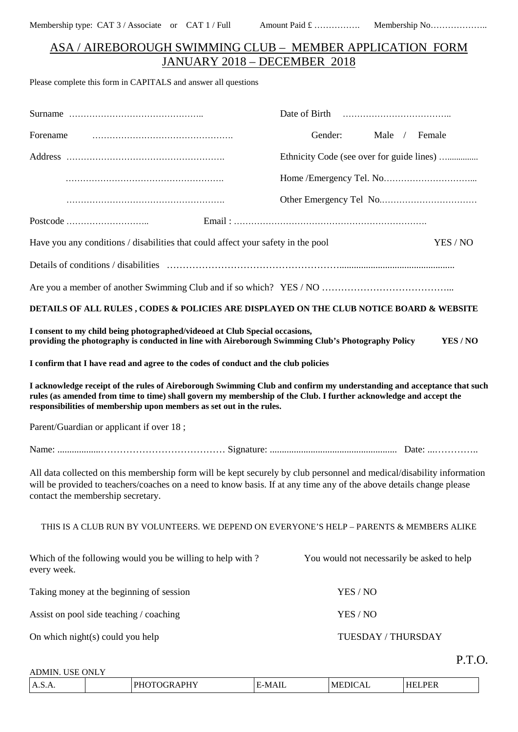## ASA / AIREBOROUGH SWIMMING CLUB – MEMBER APPLICATION FORM JANUARY 2018 – DECEMBER 2018

Please complete this form in CAPITALS and answer all questions

| Forename                                                                                                                                                                                                                                                                                                           | Gender:<br>Male / Female                   |
|--------------------------------------------------------------------------------------------------------------------------------------------------------------------------------------------------------------------------------------------------------------------------------------------------------------------|--------------------------------------------|
|                                                                                                                                                                                                                                                                                                                    | Ethnicity Code (see over for guide lines)  |
|                                                                                                                                                                                                                                                                                                                    |                                            |
|                                                                                                                                                                                                                                                                                                                    |                                            |
|                                                                                                                                                                                                                                                                                                                    |                                            |
| Have you any conditions / disabilities that could affect your safety in the pool                                                                                                                                                                                                                                   | YES / NO                                   |
|                                                                                                                                                                                                                                                                                                                    |                                            |
|                                                                                                                                                                                                                                                                                                                    |                                            |
| DETAILS OF ALL RULES, CODES & POLICIES ARE DISPLAYED ON THE CLUB NOTICE BOARD & WEBSITE                                                                                                                                                                                                                            |                                            |
| I consent to my child being photographed/videoed at Club Special occasions,<br>providing the photography is conducted in line with Aireborough Swimming Club's Photography Policy                                                                                                                                  | YES / NO                                   |
| I confirm that I have read and agree to the codes of conduct and the club policies                                                                                                                                                                                                                                 |                                            |
| I acknowledge receipt of the rules of Aireborough Swimming Club and confirm my understanding and acceptance that such<br>rules (as amended from time to time) shall govern my membership of the Club. I further acknowledge and accept the<br>responsibilities of membership upon members as set out in the rules. |                                            |
| Parent/Guardian or applicant if over 18;                                                                                                                                                                                                                                                                           |                                            |
|                                                                                                                                                                                                                                                                                                                    |                                            |
| All data collected on this membership form will be kept securely by club personnel and medical/disability information<br>will be provided to teachers/coaches on a need to know basis. If at any time any of the above details change please<br>contact the membership secretary.                                  |                                            |
| THIS IS A CLUB RUN BY VOLUNTEERS. WE DEPEND ON EVERYONE'S HELP - PARENTS & MEMBERS ALIKE                                                                                                                                                                                                                           |                                            |
| Which of the following would you be willing to help with?<br>every week.                                                                                                                                                                                                                                           | You would not necessarily be asked to help |
| Taking money at the beginning of session                                                                                                                                                                                                                                                                           | YES / NO                                   |
| Assist on pool side teaching / coaching                                                                                                                                                                                                                                                                            | YES / NO                                   |
| On which night(s) could you help                                                                                                                                                                                                                                                                                   | TUESDAY / THURSDAY                         |
|                                                                                                                                                                                                                                                                                                                    | P.T.O.                                     |

ADMIN. USE ONLY

| $\sim$<br>n<br>A.S.A.<br>-<br>. .<br>4 L A | N/L | МF<br>,,,<br>┒ | DEL<br>cг |
|--------------------------------------------|-----|----------------|-----------|
|--------------------------------------------|-----|----------------|-----------|